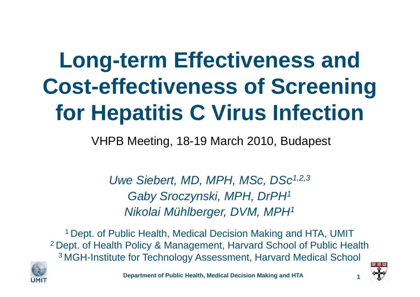# **Long-term Effectiveness and Cost-effectiveness of Screening for Hepatitis C Virus Infection**

VHPB Meeting, 18-19 March 2010, Budapest

*Uwe Siebert, MD, MPH, MSc, DSc1,2,3 Gaby Sroczynski, MPH, DrPH1 Nikolai Mühlberger, DVM, MPH1*

1 Dept. of Public Health, Medical Decision Making and HTA, UMIT 2 Dept. of Health Policy & Management, Harvard School of Public Health 3 MGH-Institute for Technology Assessment, Harvard Medical School





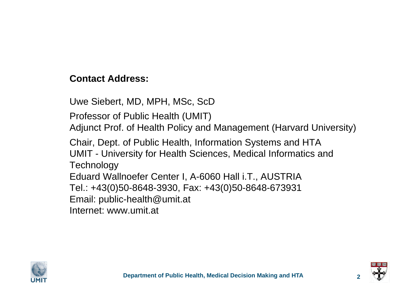#### **Contact Address:**

Uwe Siebert, MD, MPH, MSc, ScD

Professor of Public Health (UMIT)

Adjunct Prof. of Health Policy and Management (Harvard University)

Chair, Dept. of Public Health, Information Systems and HTA UMIT - University for Health Sciences, Medical Informatics and **Technology** Eduard Wallnoefer Center I, A-6060 Hall i.T., AUSTRIA

Tel.: +43(0)50-8648-3930, Fax: +43(0)50-8648-673931

Email: public-health@umit.at

Internet: www.umit.at



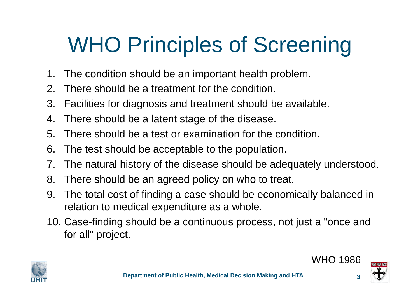# WHO Principles of Screening

- 1.The condition should be an important health problem.
- 2.There should be a treatment for the condition.
- 3. Facilities for diagnosis and treatment should be available.
- 4.There should be a latent stage of the disease.
- 5. There should be a test or examination for the condition.
- 6. The test should be acceptable to the population.
- 7.The natural history of the disease should be adequately understood.
- 8. There should be an agreed policy on who to treat.
- 9. The total cost of finding a case should be economically balanced in relation to medical expenditure as a whole.
- 10. Case-finding should be a continuous process, not just a "once and for all" project.







WHO 1986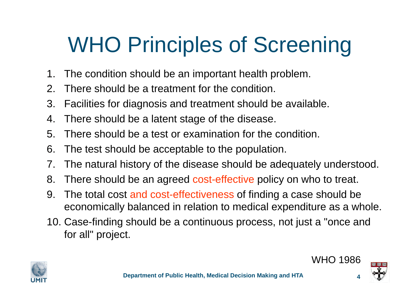# WHO Principles of Screening

- 1.The condition should be an important health problem.
- 2.There should be a treatment for the condition.
- 3. Facilities for diagnosis and treatment should be available.
- 4.There should be a latent stage of the disease.
- 5. There should be a test or examination for the condition.
- 6. The test should be acceptable to the population.
- 7.The natural history of the disease should be adequately understood.
- 8. There should be an agreed cost-effective policy on who to treat.
- 9. The total cost and cost-effectiveness of finding a case should be economically balanced in relation to medical expenditure as a whole.
- 10. Case-finding should be a continuous process, not just a "once and for all" project.







WHO 1986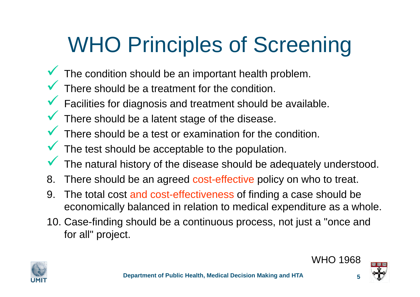# WHO Principles of Screening

- $\checkmark$ The condition should be an important health problem.
- $\checkmark$ There should be a treatment for the condition.
- $\checkmark$ **Y** Facilities for diagnosis and treatment should be available.
- $\checkmark$ There should be a latent stage of the disease.
- $\checkmark$ There should be a test or examination for the condition.
- $\checkmark$  $\blacktriangledown$  The test should be acceptable to the population.
- $\checkmark$ The natural history of the disease should be adequately understood.
- 8. There should be an agreed cost-effective policy on who to treat.
- 9. The total cost and cost-effectiveness of finding a case should be economically balanced in relation to medical expenditure as a whole.
- 10. Case-finding should be a continuous process, not just a "once and for all" project.







WHO 1968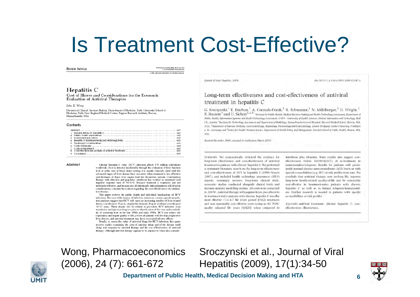### Is Treatment Cost-Effective?

**REVIEW ARTICLE** 

tharmacocconomics 2006, 24 (7), 441472<br>1110-7690/06/0007-6661/539 26/0 e 20% Ads Data Information 3V. All rights reserved.

#### Hepatitis C

Cost of Illness and Considerations for the Economic **Evaluation of Antiviral Therapies** 

John B. Wong

Division of Clinical Decision Making, Department of Medicine, Tufts University School of Medicine, Tufts-New England Medical Center, Tupper Research Institute, Boston, Massachusetts, USA

#### Contents

#### Abstract

Chronic hepatitis C virus (HCV) infection affects 170 million individuals worldwide. As it is detected incidentally through the evaluation of liver function tests or at the time of blood donor testing, it is usually clinically silent until the advanced stages of liver disease have occurred, when treatment is less effective and shortages of donor liver organs limit the therapeutic options. Combination therapy with ribavirin and pegylated interferon has resulted in sustained viral negative response rates of 54-61%. Because treatment is expensive and not uniformly effective, and because not all chronically infected patients will develop complications, concerns have ansen regarding the cost effectiveness of combination therany.

This paper reviews the public health and individual implications of HCV infections. Because of the latency of infection, numerous country-specific population analyses suggest that HCV will cause an increasing number of liver-related deaths over the next 10 years, despite the dramatic drop in incidence over the past 10-15 years. These deaths will be related to prevalent HCV infection from transfusion and injection drug use prior to identification of the virus and availability of screening tests in the late 1980s and early 1990s. HCV can reduce life expectancy and impair quality of life, yet not all patients will develop progressive liver disease, and antiviral treatment may have associated adverse effects.

Finally, to assess the value of antiviral drugs for HCV infection, this paper reviews studies examining the costs of antiviral drugs and of the disease itself along with response to artiviral therapy and the cost effectiveness of antiviral therapy. Although antiviral therapy appears to be expensive, when also consider Journal of Viral Hepatitis, 2009

doi:10.1111/j.1365-2893.2(09.01147.x

#### Long-term effectiveness and cost-effectiveness of antiviral treatment in hepatitis C

G. Sroczynski, <sup>1</sup> E. Esteban, <sup>1</sup> A. Conrads-Frank, <sup>2</sup> R. Schwarzer, <sup>1</sup> N. Mühlberger, <sup>1</sup> D. Wright, <sup>2</sup> S. Zeuzem<sup>3</sup> and U. Siebert<sup>1, 2,4</sup> <sup>1</sup>*hssitute for Public Health. Medical Decision Making and Health Technolog* Public Health, Information Systems and Health Technology Assessment, UMIT - University of Health Sciences, Medical Informatics and Technology, Hall 1.T., Austria: <sup>5</sup>Institute for Technology Assessment and Department of Radiology, Massachusetts General Hospital. Harvard Medical School, Boston, MA. USA: <sup>5</sup>Department of Internal Medicine, Gastroenterology, Hepatology, Pneumology and Endocrinology, Johann Wolfgang Goethe-University, Frankfurt a. M., Germany; and <sup>4</sup>Centre for Health Decision Science, Department of Health Policy and Management, Harvard School of Public Health, Boston. MA. USA.

Received December 2008; accepted for publication March 2009.

SUMMARY. We systematically reviewed the evidence for long-term effectiveness and cost-effectiveness of antiviral treatment in patients with chronic hepatitis C. We performed a systematic literature search on the long-term effectiveness and cost-effectiveness of AVT in hepatitis C (1990-March 2007), and included health technology assessment (HTA) reports, systematic reviews, long-term clinical trials, economic studies conducted alongside clinical trials and decision-analytic modelling studies. All costs were converted to 2005€. Antiviral therapy with peginterferon plus ribavirin in treatment-naïve patients with chronic hepatitis C was the most effective (3.6-4.7 life years gained [LYG]) treatment and was reasonably cost-effective (cost-saving to 84 700€/ quality adjusted life years [QALY]) when compared to interferon plus ribavirin. Some results also suggest costeffectiveness (below 8400€/(QALY) of re-treatment in nonresponders/relapsers. Results for patients with persistently normal alanine aminotransferase (ALT) levels or with special co-morbidities (e.g. HIV) or risk profiles were rare. We conclude that antiviral therapy may prolong life, improve long-term health-related quality-of-life and be reasonablycost-effective in treatment-naïve patients with chronic hepatitis C as well as in former relapsers/nonresponders. Purther research is needed in patients with specific co-morbidities or risk profiles.

Keywords: antiviral treatment. chronic hopatitis C. costeffectiveness, effectiveness.



Sroczynski et al., Journal of Viral Hepatitis (2009), 17(1):34-50

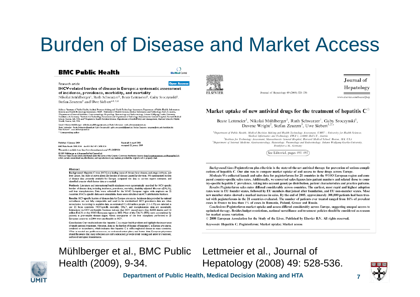#### Burden of Disease and Market Access

**ELSEVIER** 

#### **BMC Public Health**

 $\bigcap$ **BioMed Central** 

Research article

**Open Access** 

#### **IHCV-related burden of disease in Europe: a systematic assessment** of incidence, prevalence, morbidity, and mortality

Nikolai Mühlberger<sup>1</sup>, Ruth Schwarzer<sup>1</sup>, Beate Lettmeier<sup>1</sup>, Gaby Sroczynski<sup>1</sup>, Stefan Zeuzem<sup>2</sup> and Uwe Siebert \*1,3,4

Address: "Institute of Public Health, Medical Decision Making and Health Technology Assessment, Department of Public Health, Information<br>Systems and Health Technology Assessment, UMIT - University of Health Sciences, Medic <sup>2</sup> Department of Internal Medicine, Castroenterology, Hepatology, Pneumology and Endocrinology, Johann Wolfgang Coethe-University, Frankfurt a.M., Germany, <sup>a</sup>lrestitute for Technology Assessment and Department of Radiology, Massachusetts General Hospital, Harvard Medical<br>School, Boston, MA, USA and <sup>4</sup>Program in Health Decision Science, Department of Health, Boston, MA, USA

Email: Niloolai Mühlberger - ni loolai .muehlberger@umit.at; Ruth Schwarzer - ruth achwarzer@umit.at; Beate Lettmeler - beate.lettmeler@umit.at; Caby Srcozynski - gaby.srcczynski@umit.at; Stefan Zeuzem - zeuzem@em.uni-frankfurt.de; Liwe Stebert\* - unve.stebert@umit.at \* Corresponding author

Published: 22 lanuary 2009

Received: 16 April 2008 Accepted: 22 January 2009

This article is available from: http://www.biomedcentral.com/1471-2458/9/34

BAM Public March 2000, 9:34 And 10, 1194/1471, 2459-9-24 @ 2009 Mühlherger et al: Imensee Righted Central Ltd.

This is an Open Access article detributed under the terms of the Creative Commons Attribution License <u>(http://creativecommons.org/teenses/by/2.0).</u><br>which permits unrestricted use, distribution, and reproduction in any med

#### Abstract

Background: Hepatitis C virus (HCV) is a leading cause of chronic liver disease, end-stage cimhosis, and liver cancer, but little is known about the burden of disease caused by the virus. We summarised burden of disease data presently available for Europe, compared the data to current expert estimates, and identified areas in which better data are needed

Methods: Literature and international health databases were systematically searched for HCV-specific burden of disease data, including incidence, prevalence, mortality, disability-adjusted life-years (DALYs), and liver transplantation. Data were collected for the WHO European region with emphasis on 22. countries. If HCV-specific data were unavailable, these were calculated via HCV-attributable fractions.

Results: HCV-specific burden of disease data for Europe are scarce. Incidence data provided by national surveillance are not fully comparable and need to be standardised. HCV prevalence data are often inconclusive. According to available data, an estimated 7.3-8.8 million people (1.1-1.3%) are infected in our 22 focus countries. HCV-specific mortality. DALY, and transplantation data are unavailable. Estimations via HCV-attributable fractions indicate that HCV caused more than 86000 deaths and 1.2 million DALYs in the WHO European region in 2002. Most of the DALYs (95%) were accumulated by patients in preventable disease stages. About one-quarter of the liver transplants performed in 25 European countries in 2004 were attributable to HCV.

Conclusion: Our results indicate that hepatitis C is a major health problem and highlight the importance of timely antiviral treatment. However, data on the burden of disease of hepatitis C in Europe are scarce, outdated or inconclusive, which indicates that hepatitis C is still a neglected disease in many countries. What is needed are public awareness, co-ordinated action plans, and better data. European physicians should be aware that many infections are still undetected, provide timely testing and antiviral treatment, and avoid latrogenic transmission

#### Mühlberger et al., BMC Public Health (2009), 9-34.



Journal of Hepatology 49 (2008) 528-536

Journal of Hepatology

www.elsevier.com/locate/jhep

#### Market uptake of new antiviral drugs for the treatment of hepatitis  $C^{\hat{\pi}}$

Beate Lettmeier<sup>1</sup>, Nikolai Mühlberger<sup>1</sup>, Ruth Schwarzer<sup>1</sup>, Gaby Sroczynski<sup>1</sup>, Davene Wright<sup>2</sup>, Stefan Zeuzem<sup>3</sup>, Uwe Siebert<sup>1,2,\*</sup>

<sup>1</sup>Department of Public Health, Medical Decision Making and Health Technology Assessment, UMIT - University for Health Sciences, Medical Informatics and Technology, EWZ I, A-6060 Hall i.T., Austria <sup>2</sup>Institute for Technology Assessment, Massachusetts General Hospital, Harvard Medical School, Boston, MA, USA <sup>3</sup>Department of Internal Medicine, Gastroenterology, Hepatology, Pneumology and Endocrinology, Johann Wolfgang Goethe-University, Frankfurt a.M., Germany

See Editorial, pages 491-493

Background/Aims: Peginterferon plus ribavirin is the state-of-the-art antiviral therapy for prevention of serious complications of hepatitis C. Our aim was to compare market uptake of and access to these drugs across Europe.

Methods: We collected launch and sales data for peginterferons for 21 countries in the WHO European region and compared country-specific sales rates. Additionally, we converted sales figures into patient numbers and related those to coun-

try-specific hepatitis C prevalence, taking into account genotype distribution, patient characteristics and practice patterns. Results: Peginterferon sales rates differed considerably across countries. The earliest, most rapid and highest adoption rates were in EU founder states, followed by EU members that joined after foundation, and EU non-member states. Most new member states showed a marked increase in sales. By the end of 2005, approximately 308,000 patients had been treated with peginterferons in the 21 countries evaluated. The number of patients ever treated ranged from 16% of prevalent cases in France to less than 1% of cases in Romania, Poland, Greece and Russia.

Conclusions: Peginterferon market uptake and access differed considerably across Europe, suggesting unequal access to optimised therapy. Besides budget restrictions, national surveillance and treatment policies should be considered as reasons for market access variation.

© 2008 European Association for the Study of the Liver. Published by Elsevier B.V. All rights reserved.

Keywords: Hepatitis C; Peginterferon; Market uptake; Market access

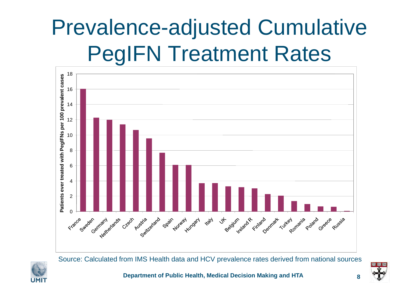## Prevalence-adjusted Cumulative PegIFN Treatment Rates



Source: Calculated from IMS Health data and HCV prevalence rates derived from national sources



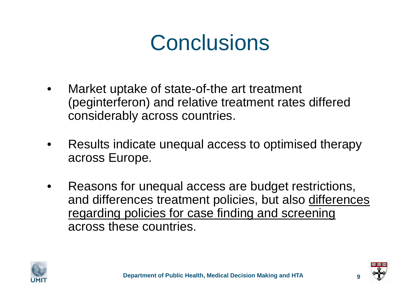### **Conclusions**

- • Market uptake of state-of-the art treatment (peginterferon) and relative treatment rates differed considerably across countries.
- • Results indicate unequal access to optimised therapy across Europe.
- • Reasons for unequal access are budget restrictions, and differences treatment policies, but also differences regarding policies for case finding and screening across these countries.



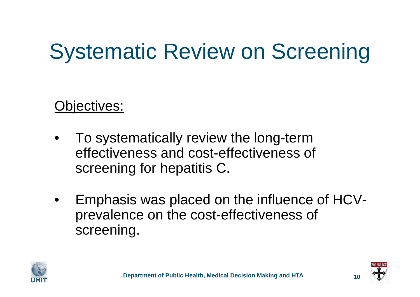# Systematic Review on Screening

#### Objectives:

- • To systematically review the long-term effectiveness and cost-effectiveness of screening for hepatitis C.
- • Emphasis was placed on the influence of HCVprevalence on the cost-effectiveness of screening.



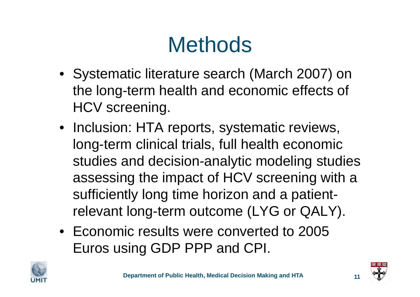## **Methods**

- Systematic literature search (March 2007) on the long-term health and economic effects of HCV screening.
- Inclusion: HTA reports, systematic reviews, long-term clinical trials, full health economic studies and decision-analytic modeling studies assessing the impact of HCV screening with a sufficiently long time horizon and a patientrelevant long-term outcome (LYG or QALY).
- Economic results were converted to 2005 Euros using GDP PPP and CPI.



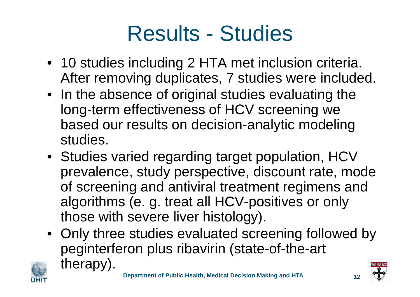### Results - Studies

- 10 studies including 2 HTA met inclusion criteria. After removing duplicates, 7 studies were included.
- In the absence of original studies evaluating the long-term effectiveness of HCV screening we based our results on decision-analytic modeling studies.
- Studies varied regarding target population, HCV prevalence, study perspective, discount rate, mode of screening and antiviral treatment regimens and algorithms (e. g. treat all HCV-positives or only those with severe liver histology).
- Only three studies evaluated screening followed by peginterferon plus ribavirin (state-of-the-art therapy).



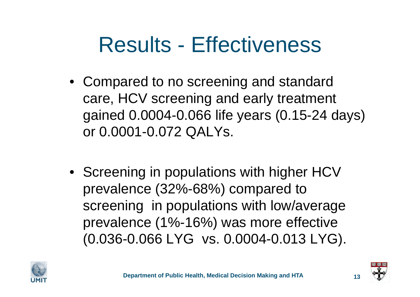### Results - Effectiveness

- Compared to no screening and standard care, HCV screening and early treatment gained 0.0004-0.066 life years (0.15-24 days) or 0.0001-0.072 QALYs.
- Screening in populations with higher HCV prevalence (32%-68%) compared to screening in populations with low/average prevalence (1%-16%) was more effective (0.036-0.066 LYG vs. 0.0004-0.013 LYG).





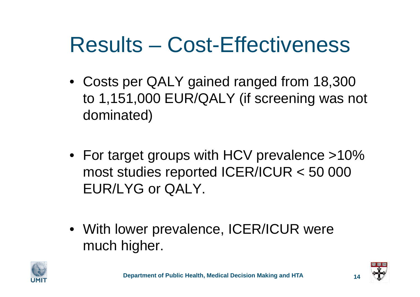### Results – Cost-Effectiveness

- Costs per QALY gained ranged from 18,300 to 1,151,000 EUR/QALY (if screening was not dominated)
- For target groups with HCV prevalence >10% most studies reported ICER/ICUR < 50 000 EUR/LYG or QALY.
- With lower prevalence, ICER/ICUR were much higher.



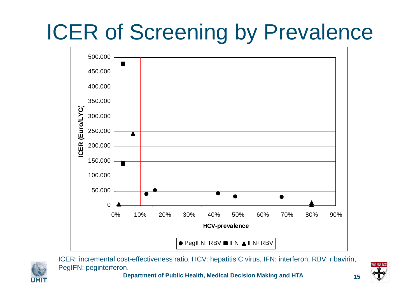# ICER of Screening by Prevalence



ICER: incremental cost-effectiveness ratio, HCV: hepatitis C virus, IFN: interferon, RBV: ribavirin, PegIFN: peginterferon.

**UMI** 

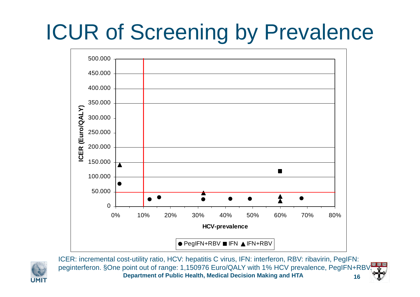# ICUR of Screening by Prevalence





**Department of Public Health, Medical Decision Making and HTA 16**ICER: incremental cost-utility ratio, HCV: hepatitis C virus, IFN: interferon, RBV: ribavirin, PegIFN: peginterferon. §One point out of range: 1,150976 Euro/QALY with 1% HCV prevalence, PegIFN+RBV.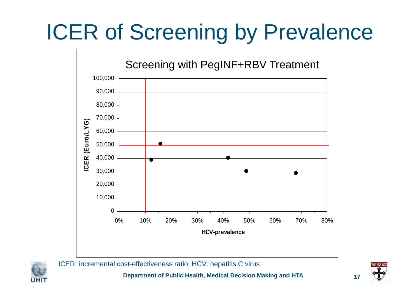## ICER of Screening by Prevalence





ICER: incremental cost-effectiveness ratio, HCV: hepatitis C virus

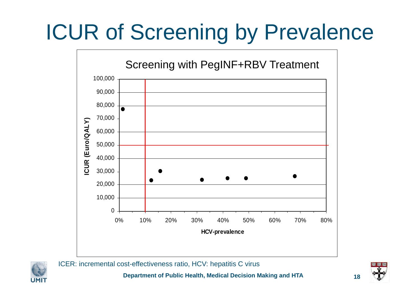## ICUR of Screening by Prevalence





UMI

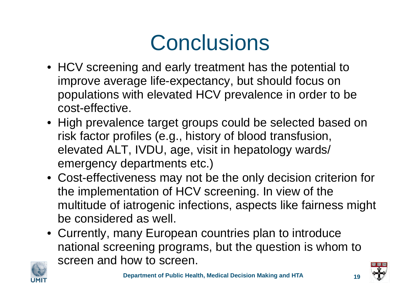## **Conclusions**

- HCV screening and early treatment has the potential to improve average life-expectancy, but should focus on populations with elevated HCV prevalence in order to be cost-effective.
- High prevalence target groups could be selected based on risk factor profiles (e.g., history of blood transfusion, elevated ALT, IVDU, age, visit in hepatology wards/ emergency departments etc.)
- Cost-effectiveness may not be the only decision criterion for the implementation of HCV screening. In view of the multitude of iatrogenic infections, aspects like fairness might be considered as well.
- Currently, many European countries plan to introduce national screening programs, but the question is whom to screen and how to screen.





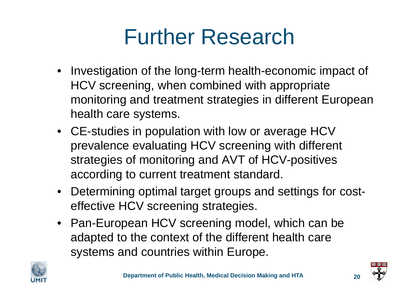## Further Research

- Investigation of the long-term health-economic impact of HCV screening, when combined with appropriate monitoring and treatment strategies in different European health care systems.
- CE-studies in population with low or average HCV prevalence evaluating HCV screening with different strategies of monitoring and AVT of HCV-positives according to current treatment standard.
- Determining optimal target groups and settings for costeffective HCV screening strategies.
- Pan-European HCV screening model, which can be adapted to the context of the different health care systems and countries within Europe.



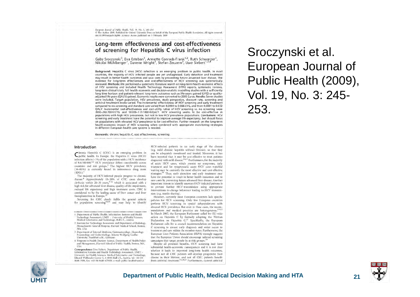European Journal of Public Health, Vol. 19, No. 3, 245-255 The Author 2009. Published by Oxford University Press on behilf of the European Public Health Association. All rights reserved. doi:10.1093/eurpub/ckp001 Advance Access published on 5 February 2009

#### 

#### Long-term effectiveness and cost-effectiveness of screening for Hepatitis C virus infection

Gaby Sroczynski<sup>1</sup>, Eva Esteban<sup>1</sup>, Annette Conrads-Frank<sup>1,2</sup>, Ruth Schwarzer<sup>1</sup>, Nikolai Mühlberger<sup>1</sup>, Davene Wright<sup>2</sup>, Stefan Zeuzem<sup>3</sup>, Uwe Siebert<sup>1,2,4</sup>

Background: Hepatitis C virus (HCV) infection is an emerging problem in public health. In most countries, the majority of HCV infected people are yet undiagnosed. Early detection and treatment may result in better health outcomes and save costs by preventing future advanced liver disease. The evidence for long-term effectiveness and cost-effectiveness of HCV screening was systematically reviewed. Methods: We performed a systematic literature search on long-term health-economic effects of HCV screening and included Health Technology Assessment (HTA) reports, systematic reviews, long-term clinical trials, full health economic and decision-analytic modelling studies with a sufficiently long time horizon and patient-relevant long-term outcomes such as life-years gained (LYG) or qualityadjusted life years (QALY) gained. Economic results were converted to 2005 Euros. Results: Seven studies were included. Target population, HCV prevalence, study perspective, discount rate, screening and antiviral treatment mode varied. The incremental effectiveness of HCV screening and early treatment compared to no screening and standard care varied from 0.0004 to 0.066 LYG, and from 0.0001 to 0.072 QALY. Incremental cost-effectiveness and cost-utility ratios of HCV screening vs. no screening were 3900-243 700 €/LYG and 18300-1151000 €/QALY. HCV screening seems to be cost-effective in populations with high HCV prevalence, but not in low HCV prevalence populations. Conclusions: HCV screening and early treatment have the potential to improve average life-expectancy, but should focus on populations with elevated HCV prevalence to be cost-effective. Further research on the long-term health-economic impact of HCV screening when combined with appropriate monitoring strategies in different European health care systems is needed.

Keywords: chronic hepatitis C, cost effectiveness, screening.

#### Introduction

Chronic Hepatitis C (CHC) is an emerging problem in<br>C public health. In Europe, the Hepatitis C virus (HCV) infection affects > 1% of the population with a HCV-incidence of 8.6/100 000.<sup>1,2</sup> HCV prevalence differs considerably across countries and risk groups,<sup>2</sup> The highest HCV prevalence (36-81%) is currently found in intravenous drug users  $(1DUs).$ 

The majority of HCV-infected people progress to chronic disease.4 Approximately 15-20% of CHC cases develop cirrhosis within 20-30 years,<sup>5-12</sup> which is associated with a high risk for advanced liver disease, quality of life impairment, reduced life expectancy and high treatment costs. CHC is convidered to be the leading cause of liver cancer and liver transplantation in Europe.<sup>13</sup>

Screening for CHC clearly fulfils the general criteria for population screening<sup>34,35</sup> and may help to identify

- 1 Department of Public Health, Information Systems and Health Technology Assessment: UMIT - University of Health Sciences,
- Medical Informatics and Technology, Hall i.T., Austria 2 Institute for Technology Assessment and Department of Radiology,
- Massachusetts General Hospital, Harvard Medical School, Boston, MA, USA J Department of Internal Medicine, Gastroenterology, Hepatology,
- Paetmology and Endocrinology. Johann Wulfgang Goethe-University, Frankfurt a.M., Germany
- 4 Program in Health Decision Science, Department of Health Policy and Management, Harvard School of Public Health, Boston, MA, USA

Correspondence: Uwe Siebert, Department of Public Health, Information Systems and Health Technology Assessment, UMIT -University for Health Sciences, Medical Informatics and Technology, Eduard Wallnoefer Center I, A-6060 Hall i.T., Austria, tel: +43-50-8648-3930, fax: +43-50-8648-673930, e-mail: public-health@umit.at

HCV-infected patients in an early stage of the disease (e.g. mild chronic hepatitis without fibrosis), so that they can be adequately monitored and treated. Moreover, it has been reported that it may be cost-effective to treat patients diagnosed with mild disease.<sup>16,17</sup> Furthermore, for the majority of acute HCV cases, which present no symptoms, early treatment and for symptomatic acute HCV cases watchful waiting may be currently the most effective and cost-effective strategies.<sup>18</sup> Thus, early detection and early treatment may have the potential to result in better health outcomes and to save costs by preventing future advanced liver disease. Another important reason to identify unaware HCV-infected persons is to prevent further HCV-transmission using appropriate interventions to change behaviour leading to HCV transmission (e.g. needle sharing).

However, currently most European countries lack specific policies for HCV screening. Only few European countries perform HCV screening in special subpopulations with elevated HCV prevalence. But even in these cases, the recommendations and medical practices are heterogeneous.<sup>29-21</sup> In March 2007, the European Parliament called for EU-wide action on Hepatitis C by formally adopting the Written Declaration on Hepatitis C.<sup>22</sup> Specifically, the European Parliament calls for a council recommendation on Hepatitis C screening to ensure early diagnosis and wider access to treatment and care within the member states. Furthermore, the European Liver Patients Association (ELPA) strongly suggests that the European Union should encourage tailored screening campaigns that target people in at-risk groups.<sup>23</sup>

Despite all potential benefits, HCV screening may have substantial health-economic consequences and it is not clear whether it leads to improved long-term health outcomes, because not all CHC patients will develop progressive liver disease in their lifetime, and not all CHC patients benefit from antiviral treatment.<sup>16,24,25</sup> Furthermore, current antiviral

#### Sroczynski et al. European Journal of Public Health (2009), Vol. 19, No. 3: 245- 253.